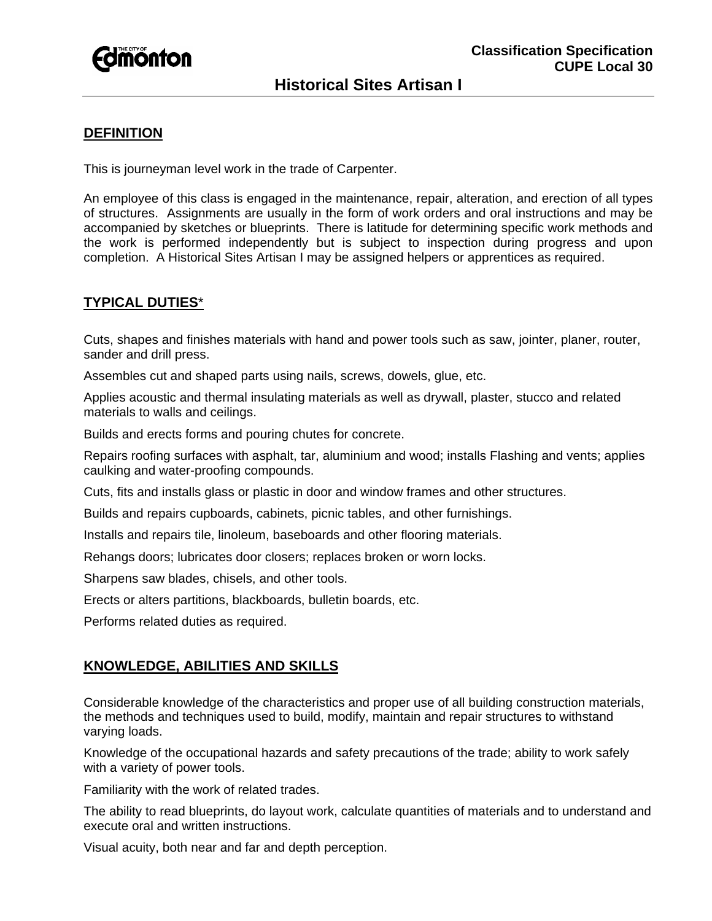

## **DEFINITION**

This is journeyman level work in the trade of Carpenter.

An employee of this class is engaged in the maintenance, repair, alteration, and erection of all types of structures. Assignments are usually in the form of work orders and oral instructions and may be accompanied by sketches or blueprints. There is latitude for determining specific work methods and the work is performed independently but is subject to inspection during progress and upon completion. A Historical Sites Artisan I may be assigned helpers or apprentices as required.

## **TYPICAL DUTIES**\*

Cuts, shapes and finishes materials with hand and power tools such as saw, jointer, planer, router, sander and drill press.

Assembles cut and shaped parts using nails, screws, dowels, glue, etc.

Applies acoustic and thermal insulating materials as well as drywall, plaster, stucco and related materials to walls and ceilings.

Builds and erects forms and pouring chutes for concrete.

Repairs roofing surfaces with asphalt, tar, aluminium and wood; installs Flashing and vents; applies caulking and water-proofing compounds.

Cuts, fits and installs glass or plastic in door and window frames and other structures.

Builds and repairs cupboards, cabinets, picnic tables, and other furnishings.

Installs and repairs tile, linoleum, baseboards and other flooring materials.

Rehangs doors; lubricates door closers; replaces broken or worn locks.

Sharpens saw blades, chisels, and other tools.

Erects or alters partitions, blackboards, bulletin boards, etc.

Performs related duties as required.

### **KNOWLEDGE, ABILITIES AND SKILLS**

Considerable knowledge of the characteristics and proper use of all building construction materials, the methods and techniques used to build, modify, maintain and repair structures to withstand varying loads.

Knowledge of the occupational hazards and safety precautions of the trade; ability to work safely with a variety of power tools.

Familiarity with the work of related trades.

The ability to read blueprints, do layout work, calculate quantities of materials and to understand and execute oral and written instructions.

Visual acuity, both near and far and depth perception.